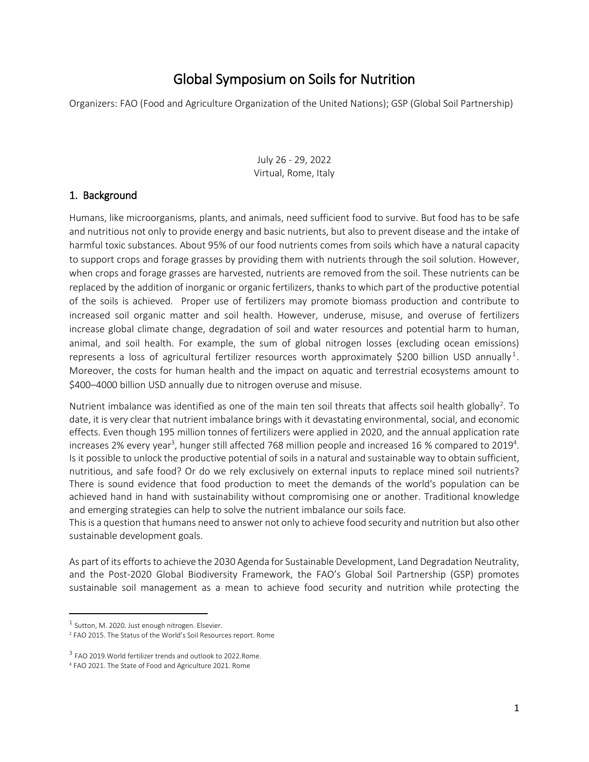# Global Symposium on Soils for Nutrition

Organizers: FAO (Food and Agriculture Organization of the United Nations); GSP (Global Soil Partnership)

July 26 - 29, 2022 Virtual, Rome, Italy

## 1. Background

Humans, like microorganisms, plants, and animals, need sufficient food to survive. But food has to be safe and nutritious not only to provide energy and basic nutrients, but also to prevent disease and the intake of harmful toxic substances. About 95% of our food nutrients comes from soils which have a natural capacity to support crops and forage grasses by providing them with nutrients through the soil solution. However, when crops and forage grasses are harvested, nutrients are removed from the soil. These nutrients can be replaced by the addition of inorganic or organic fertilizers, thanks to which part of the productive potential of the soils is achieved. Proper use of fertilizers may promote biomass production and contribute to increased soil organic matter and soil health. However, underuse, misuse, and overuse of fertilizers increase global climate change, degradation of soil and water resources and potential harm to human, animal, and soil health. For example, the sum of global nitrogen losses (excluding ocean emissions) represents a loss of agricultural fertilizer resources worth approximately \$200 billion USD annually<sup>1</sup>. Moreover, the costs for human health and the impact on aquatic and terrestrial ecosystems amount to \$400–4000 billion USD annually due to nitrogen overuse and misuse.

Nutrient imbalance was identified as one of the main ten soil threats that affects soil health globally<sup>2</sup>. To date, it is very clear that nutrient imbalance brings with it devastating environmental, social, and economic effects. Even though 195 million tonnes of fertilizers were applied in 2020, and the annual application rate increases 2% every year<sup>3</sup>, hunger still affected 768 million people and increased 16 % compared to 2019<sup>4</sup>. Is it possible to unlock the productive potential of soils in a natural and sustainable way to obtain sufficient, nutritious, and safe food? Or do we rely exclusively on external inputs to replace mined soil nutrients? There is sound evidence that food production to meet the demands of the world's population can be achieved hand in hand with sustainability without compromising one or another. Traditional knowledge and emerging strategies can help to solve the nutrient imbalance our soils face.

This is a question that humans need to answer not only to achieve food security and nutrition but also other sustainable development goals.

As part of its efforts to achieve the 2030 Agenda for Sustainable Development, Land Degradation Neutrality, and the Post-2020 Global Biodiversity Framework, the FAO's Global Soil Partnership (GSP) promotes sustainable soil management as a mean to achieve food security and nutrition while protecting the

 $\overline{\phantom{a}}$ 

 $<sup>1</sup>$  Sutton, M. 2020. Just enough nitrogen. Elsevier.</sup>

<sup>2</sup> FAO 2015. The Status of the World's Soil Resources report. Rome

<sup>&</sup>lt;sup>3</sup> FAO 2019. World fertilizer trends and outlook to 2022. Rome.

<sup>4</sup> FAO 2021. The State of Food and Agriculture 2021. Rome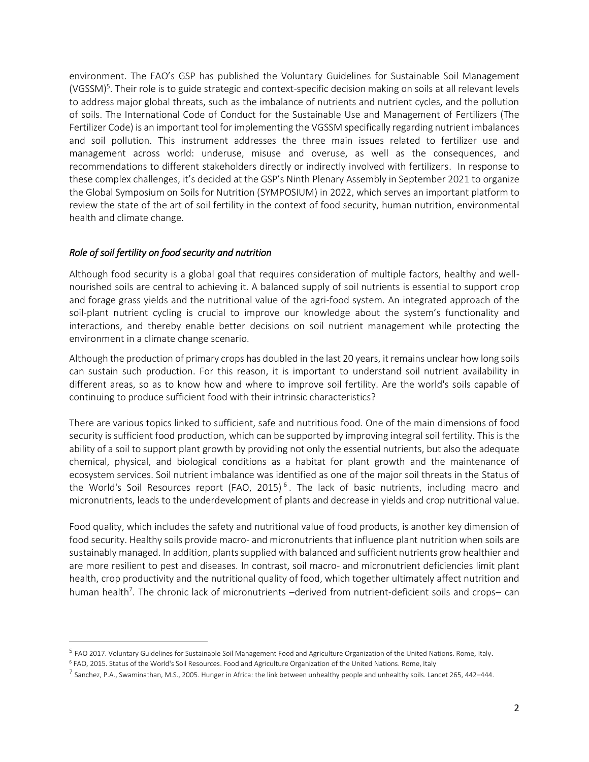environment. The FAO's GSP has published the Voluntary Guidelines for Sustainable Soil Management (VGSSM)<sup>5</sup>. Their role is to guide strategic and context-specific decision making on soils at all relevant levels to address major global threats, such as the imbalance of nutrients and nutrient cycles, and the pollution of soils. The International Code of Conduct for the Sustainable Use and Management of Fertilizers (The Fertilizer Code) is an important tool for implementing the VGSSM specifically regarding nutrient imbalances and soil pollution. This instrument addresses the three main issues related to fertilizer use and management across world: underuse, misuse and overuse, as well as the consequences, and recommendations to different stakeholders directly or indirectly involved with fertilizers. In response to these complex challenges, it's decided at the GSP's Ninth Plenary Assembly in September 2021 to organize the Global Symposium on Soils for Nutrition (SYMPOSIUM) in 2022, which serves an important platform to review the state of the art of soil fertility in the context of food security, human nutrition, environmental health and climate change.

#### *Role of soil fertility on food security and nutrition*

 $\overline{\phantom{a}}$ 

Although food security is a global goal that requires consideration of multiple factors, healthy and wellnourished soils are central to achieving it. A balanced supply of soil nutrients is essential to support crop and forage grass yields and the nutritional value of the agri-food system. An integrated approach of the soil-plant nutrient cycling is crucial to improve our knowledge about the system's functionality and interactions, and thereby enable better decisions on soil nutrient management while protecting the environment in a climate change scenario.

Although the production of primary crops has doubled in the last 20 years, it remains unclear how long soils can sustain such production. For this reason, it is important to understand soil nutrient availability in different areas, so as to know how and where to improve soil fertility. Are the world's soils capable of continuing to produce sufficient food with their intrinsic characteristics?

There are various topics linked to sufficient, safe and nutritious food. One of the main dimensions of food security is sufficient food production, which can be supported by improving integral soil fertility. This is the ability of a soil to support plant growth by providing not only the essential nutrients, but also the adequate chemical, physical, and biological conditions as a habitat for plant growth and the maintenance of ecosystem services. Soil nutrient imbalance was identified as one of the major soil threats in the Status of the World's Soil Resources report (FAO, 2015)<sup>6</sup>. The lack of basic nutrients, including macro and micronutrients, leads to the underdevelopment of plants and decrease in yields and crop nutritional value.

Food quality, which includes the safety and nutritional value of food products, is another key dimension of food security. Healthy soils provide macro- and micronutrients that influence plant nutrition when soils are sustainably managed. In addition, plants supplied with balanced and sufficient nutrients grow healthier and are more resilient to pest and diseases. In contrast, soil macro- and micronutrient deficiencies limit plant health, crop productivity and the nutritional quality of food, which together ultimately affect nutrition and human health<sup>7</sup>. The chronic lack of micronutrients –derived from nutrient-deficient soils and crops– can

<sup>&</sup>lt;sup>5</sup> FAO 2017. Voluntary Guidelines for Sustainable Soil Management Food and Agriculture Organization of the United Nations. Rome, Italy.

<sup>6</sup> FAO, 2015. Status of the World's Soil Resources. Food and Agriculture Organization of the United Nations. Rome, Italy

 $^7$  Sanchez, P.A., Swaminathan, M.S., 2005. Hunger in Africa: the link between unhealthy people and unhealthy soils. Lancet 265, 442–444.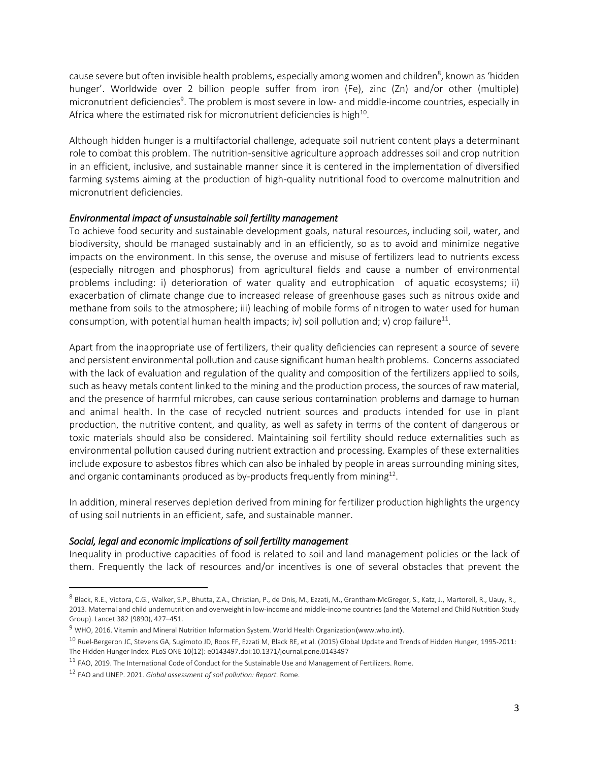cause severe but often invisible health problems, especially among women and children<sup>8</sup>, known as 'hidden hunger'. Worldwide over 2 billion people suffer from iron (Fe), zinc (Zn) and/or other (multiple) micronutrient deficiencies<sup>9</sup>. The problem is most severe in low- and middle-income countries, especially in Africa where the estimated risk for micronutrient deficiencies is high $^{10}$ .

Although hidden hunger is a multifactorial challenge, adequate soil nutrient content plays a determinant role to combat this problem. The nutrition-sensitive agriculture approach addresses soil and crop nutrition in an efficient, inclusive, and sustainable manner since it is centered in the implementation of diversified farming systems aiming at the production of high-quality nutritional food to overcome malnutrition and micronutrient deficiencies.

#### *Environmental impact of unsustainable soil fertility management*

To achieve food security and sustainable development goals, natural resources, including soil, water, and biodiversity, should be managed sustainably and in an efficiently, so as to avoid and minimize negative impacts on the environment. In this sense, the overuse and misuse of fertilizers lead to nutrients excess (especially nitrogen and phosphorus) from agricultural fields and cause a number of environmental problems including: i) deterioration of water quality and eutrophication of aquatic ecosystems; ii) exacerbation of climate change due to increased release of greenhouse gases such as nitrous oxide and methane from soils to the atmosphere; iii) leaching of mobile forms of nitrogen to water used for human consumption, with potential human health impacts; iv) soil pollution and; v) crop failure<sup>11</sup>.

Apart from the inappropriate use of fertilizers, their quality deficiencies can represent a source of severe and persistent environmental pollution and cause significant human health problems. Concerns associated with the lack of evaluation and regulation of the quality and composition of the fertilizers applied to soils, such as heavy metals content linked to the mining and the production process, the sources of raw material, and the presence of harmful microbes, can cause serious contamination problems and damage to human and animal health. In the case of recycled nutrient sources and products intended for use in plant production, the nutritive content, and quality, as well as safety in terms of the content of dangerous or toxic materials should also be considered. Maintaining soil fertility should reduce externalities such as environmental pollution caused during nutrient extraction and processing. Examples of these externalities include exposure to asbestos fibres which can also be inhaled by people in areas surrounding mining sites, and organic contaminants produced as by-products frequently from mining $^{12}$ .

In addition, mineral reserves depletion derived from mining for fertilizer production highlights the urgency of using soil nutrients in an efficient, safe, and sustainable manner.

#### *Social, legal and economic implications of soil fertility management*

Inequality in productive capacities of food is related to soil and land management policies or the lack of them. Frequently the lack of resources and/or incentives is one of several obstacles that prevent the

 $\overline{\phantom{a}}$ 

<sup>&</sup>lt;sup>8</sup> Black, R.E., Victora, C.G., Walker, S.P., Bhutta, Z.A., Christian, P., de Onis, M., Ezzati, M., Grantham-McGregor, S., Katz, J., Martorell, R., Uauy, R., 2013. Maternal and child undernutrition and overweight in low-income and middle-income countries (and the Maternal and Child Nutrition Study Group). Lancet 382 (9890), 427–451.

<sup>&</sup>lt;sup>9</sup> WHO, 2016. Vitamin and Mineral Nutrition Information System. World Health Organization(www.who.int).

<sup>&</sup>lt;sup>10</sup> Ruel-Bergeron JC, Stevens GA, Sugimoto JD, Roos FF, Ezzati M, Black RE, et al. (2015) Global Update and Trends of Hidden Hunger, 1995-2011: The Hidden Hunger Index. PLoS ONE 10(12): e0143497.doi:10.1371/journal.pone.0143497

<sup>&</sup>lt;sup>11</sup> FAO, 2019. The International Code of Conduct for the Sustainable Use and Management of Fertilizers. Rome.

<sup>12</sup> FAO and UNEP. 2021. *Global assessment of soil pollution: Report.* Rome.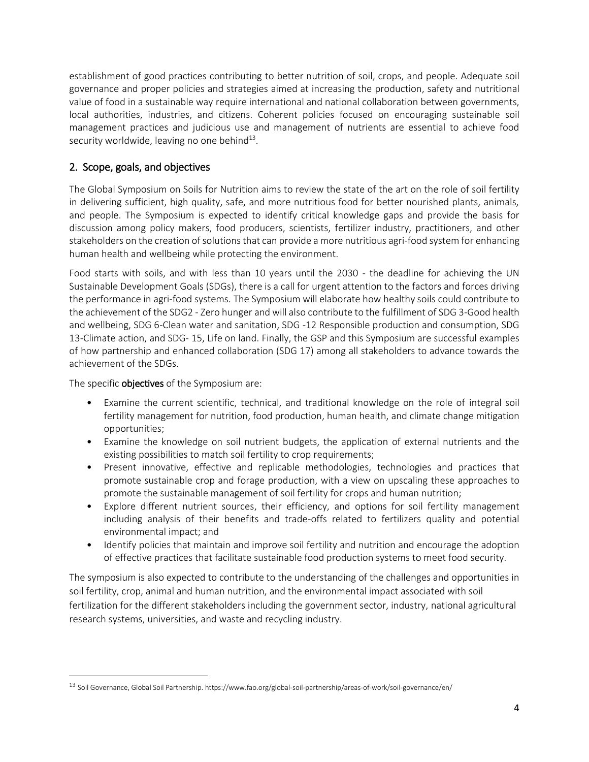establishment of good practices contributing to better nutrition of soil, crops, and people. Adequate soil governance and proper policies and strategies aimed at increasing the production, safety and nutritional value of food in a sustainable way require international and national collaboration between governments, local authorities, industries, and citizens. Coherent policies focused on encouraging sustainable soil management practices and judicious use and management of nutrients are essential to achieve food security worldwide, leaving no one behind<sup>13</sup>.

# 2. Scope, goals, and objectives

The Global Symposium on Soils for Nutrition aims to review the state of the art on the role of soil fertility in delivering sufficient, high quality, safe, and more nutritious food for better nourished plants, animals, and people. The Symposium is expected to identify critical knowledge gaps and provide the basis for discussion among policy makers, food producers, scientists, fertilizer industry, practitioners, and other stakeholders on the creation of solutions that can provide a more nutritious agri-food system for enhancing human health and wellbeing while protecting the environment.

Food starts with soils, and with less than 10 years until the 2030 - the deadline for achieving the UN Sustainable Development Goals (SDGs), there is a call for urgent attention to the factors and forces driving the performance in agri-food systems. The Symposium will elaborate how healthy soils could contribute to the achievement of the SDG2 - Zero hunger and will also contribute to the fulfillment of SDG 3-Good health and wellbeing, SDG 6-Clean water and sanitation, SDG -12 Responsible production and consumption, SDG 13-Climate action, and SDG- 15, Life on land. Finally, the GSP and this Symposium are successful examples of how partnership and enhanced collaboration (SDG 17) among all stakeholders to advance towards the achievement of the SDGs.

The specific **objectives** of the Symposium are:

 $\overline{\phantom{a}}$ 

- Examine the current scientific, technical, and traditional knowledge on the role of integral soil fertility management for nutrition, food production, human health, and climate change mitigation opportunities;
- Examine the knowledge on soil nutrient budgets, the application of external nutrients and the existing possibilities to match soil fertility to crop requirements;
- Present innovative, effective and replicable methodologies, technologies and practices that promote sustainable crop and forage production, with a view on upscaling these approaches to promote the sustainable management of soil fertility for crops and human nutrition;
- Explore different nutrient sources, their efficiency, and options for soil fertility management including analysis of their benefits and trade-offs related to fertilizers quality and potential environmental impact; and
- Identify policies that maintain and improve soil fertility and nutrition and encourage the adoption of effective practices that facilitate sustainable food production systems to meet food security.

The symposium is also expected to contribute to the understanding of the challenges and opportunities in soil fertility, crop, animal and human nutrition, and the environmental impact associated with soil fertilization for the different stakeholders including the government sector, industry, national agricultural research systems, universities, and waste and recycling industry.

<sup>13</sup> Soil Governance, Global Soil Partnership. https://www.fao.org/global-soil-partnership/areas-of-work/soil-governance/en/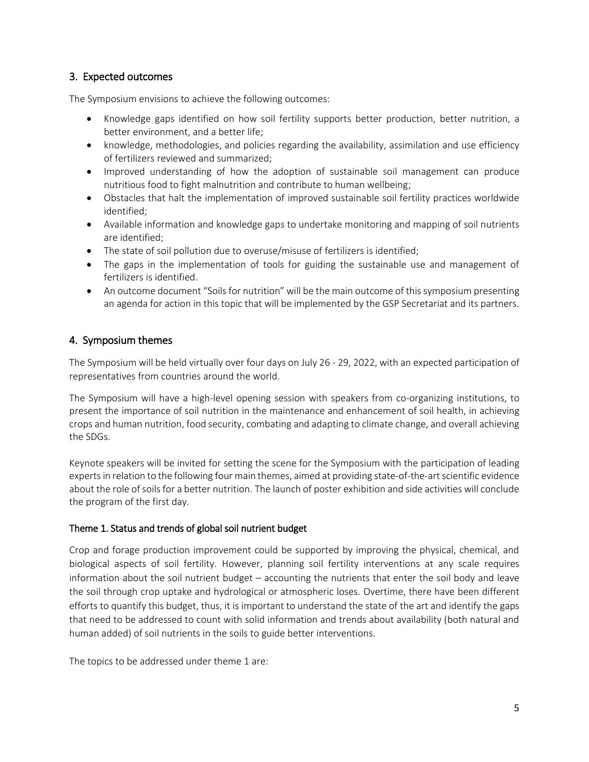# 3. Expected outcomes

The Symposium envisions to achieve the following outcomes:

- Knowledge gaps identified on how soil fertility supports better production, better nutrition, a better environment, and a better life;
- knowledge, methodologies, and policies regarding the availability, assimilation and use efficiency of fertilizers reviewed and summarized;
- Improved understanding of how the adoption of sustainable soil management can produce nutritious food to fight malnutrition and contribute to human wellbeing;
- Obstacles that halt the implementation of improved sustainable soil fertility practices worldwide identified;
- Available information and knowledge gaps to undertake monitoring and mapping of soil nutrients are identified;
- The state of soil pollution due to overuse/misuse of fertilizers is identified;
- The gaps in the implementation of tools for guiding the sustainable use and management of fertilizers is identified.
- An outcome document "Soils for nutrition" will be the main outcome of this symposium presenting an agenda for action in this topic that will be implemented by the GSP Secretariat and its partners.

# 4. Symposium themes

The Symposium will be held virtually over four days on July 26 - 29, 2022, with an expected participation of representatives from countries around the world.

The Symposium will have a high-level opening session with speakers from co-organizing institutions, to present the importance of soil nutrition in the maintenance and enhancement of soil health, in achieving crops and human nutrition, food security, combating and adapting to climate change, and overall achieving the SDGs.

Keynote speakers will be invited for setting the scene for the Symposium with the participation of leading experts in relation to the following four main themes, aimed at providing state-of-the-art scientific evidence about the role of soils for a better nutrition. The launch of poster exhibition and side activities will conclude the program of the first day.

## Theme 1. Status and trends of global soil nutrient budget

Crop and forage production improvement could be supported by improving the physical, chemical, and biological aspects of soil fertility. However, planning soil fertility interventions at any scale requires information about the soil nutrient budget – accounting the nutrients that enter the soil body and leave the soil through crop uptake and hydrological or atmospheric loses. Overtime, there have been different efforts to quantify this budget, thus, it is important to understand the state of the art and identify the gaps that need to be addressed to count with solid information and trends about availability (both natural and human added) of soil nutrients in the soils to guide better interventions.

The topics to be addressed under theme 1 are: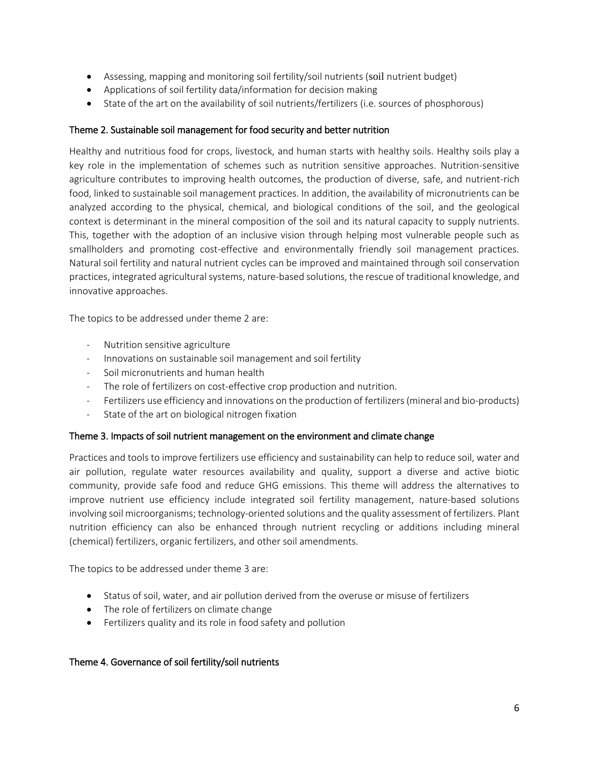- Assessing, mapping and monitoring soil fertility/soil nutrients (soil nutrient budget)
- Applications of soil fertility data/information for decision making
- State of the art on the availability of soil nutrients/fertilizers (i.e. sources of phosphorous)

#### Theme 2. Sustainable soil management for food security and better nutrition

Healthy and nutritious food for crops, livestock, and human starts with healthy soils. Healthy soils play a key role in the implementation of schemes such as nutrition sensitive approaches. Nutrition-sensitive agriculture contributes to improving health outcomes, the production of diverse, safe, and nutrient-rich food, linked to sustainable soil management practices. In addition, the availability of micronutrients can be analyzed according to the physical, chemical, and biological conditions of the soil, and the geological context is determinant in the mineral composition of the soil and its natural capacity to supply nutrients. This, together with the adoption of an inclusive vision through helping most vulnerable people such as smallholders and promoting cost-effective and environmentally friendly soil management practices. Natural soil fertility and natural nutrient cycles can be improved and maintained through soil conservation practices, integrated agricultural systems, nature-based solutions, the rescue of traditional knowledge, and innovative approaches.

The topics to be addressed under theme 2 are:

- Nutrition sensitive agriculture
- Innovations on sustainable soil management and soil fertility
- Soil micronutrients and human health
- The role of fertilizers on cost-effective crop production and nutrition.
- Fertilizers use efficiency and innovations on the production of fertilizers (mineral and bio-products)
- State of the art on biological nitrogen fixation

#### Theme 3. Impacts of soil nutrient management on the environment and climate change

Practices and tools to improve fertilizers use efficiency and sustainability can help to reduce soil, water and air pollution, regulate water resources availability and quality, support a diverse and active biotic community, provide safe food and reduce GHG emissions. This theme will address the alternatives to improve nutrient use efficiency include integrated soil fertility management, nature-based solutions involving soil microorganisms; technology-oriented solutions and the quality assessment of fertilizers. Plant nutrition efficiency can also be enhanced through nutrient recycling or additions including mineral (chemical) fertilizers, organic fertilizers, and other soil amendments.

The topics to be addressed under theme 3 are:

- Status of soil, water, and air pollution derived from the overuse or misuse of fertilizers
- The role of fertilizers on climate change
- Fertilizers quality and its role in food safety and pollution

## Theme 4. Governance of soil fertility/soil nutrients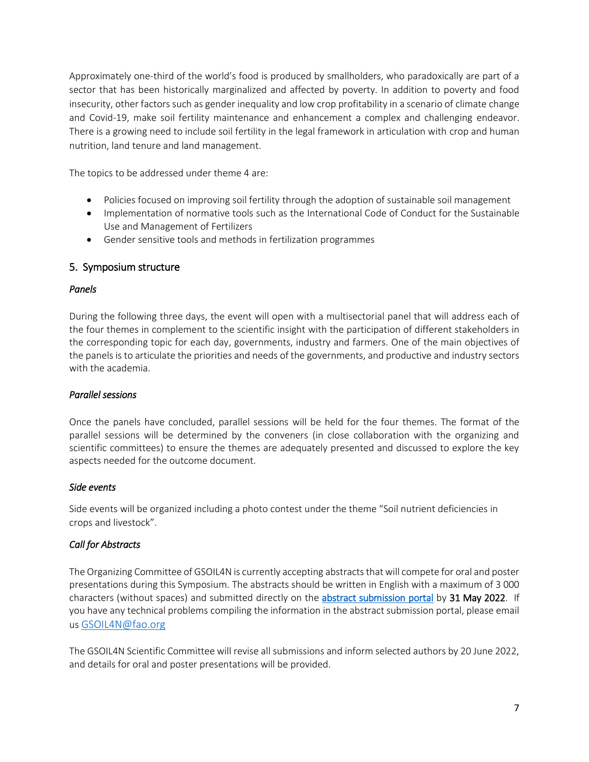Approximately one-third of the world's food is produced by smallholders, who paradoxically are part of a sector that has been historically marginalized and affected by poverty. In addition to poverty and food insecurity, other factors such as gender inequality and low crop profitability in a scenario of climate change and Covid-19, make soil fertility maintenance and enhancement a complex and challenging endeavor. There is a growing need to include soil fertility in the legal framework in articulation with crop and human nutrition, land tenure and land management.

The topics to be addressed under theme 4 are:

- Policies focused on improving soil fertility through the adoption of sustainable soil management
- Implementation of normative tools such as the International Code of Conduct for the Sustainable Use and Management of Fertilizers
- Gender sensitive tools and methods in fertilization programmes

## 5. Symposium structure

#### *Panels*

During the following three days, the event will open with a multisectorial panel that will address each of the four themes in complement to the scientific insight with the participation of different stakeholders in the corresponding topic for each day, governments, industry and farmers. One of the main objectives of the panels is to articulate the priorities and needs of the governments, and productive and industry sectors with the academia.

## *Parallel sessions*

Once the panels have concluded, parallel sessions will be held for the four themes. The format of the parallel sessions will be determined by the conveners (in close collaboration with the organizing and scientific committees) to ensure the themes are adequately presented and discussed to explore the key aspects needed for the outcome document.

#### *Side events*

Side events will be organized including a photo contest under the theme "Soil nutrient deficiencies in crops and livestock".

## *Call for Abstracts*

The Organizing Committee of GSOIL4N is currently accepting abstracts that will compete for oral and poster presentations during this Symposium. The abstracts should be written in English with a maximum of 3 000 characters (without spaces) and submitted directly on the [abstract submission portal](https://www.surveymonkey.com/r/K39X8CY) by 31 May 2022. If you have any technical problems compiling the information in the abstract submission portal, please email us [GSOIL4N@fao.org](mailto:GSOIL4N@fao.org)

The GSOIL4N Scientific Committee will revise all submissions and inform selected authors by 20 June 2022, and details for oral and poster presentations will be provided.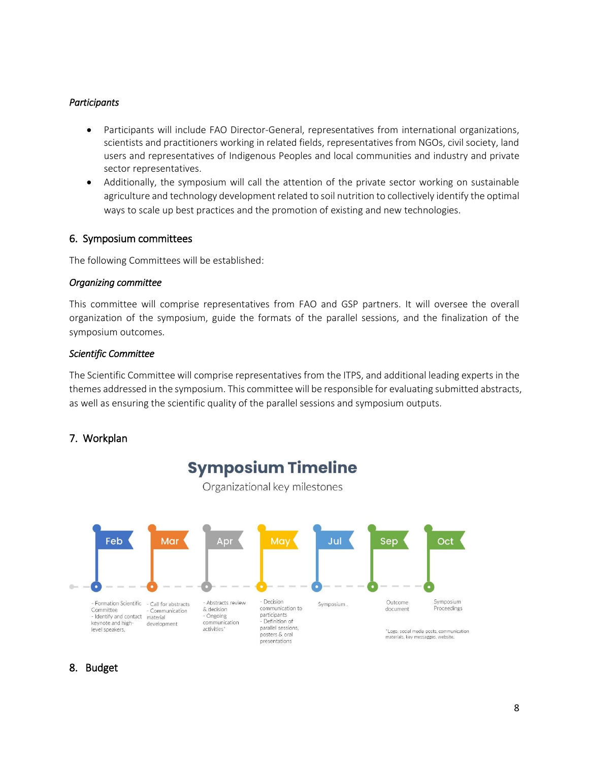#### *Participants*

- Participants will include FAO Director-General, representatives from international organizations, scientists and practitioners working in related fields, representatives from NGOs, civil society, land users and representatives of Indigenous Peoples and local communities and industry and private sector representatives.
- Additionally, the symposium will call the attention of the private sector working on sustainable agriculture and technology development related to soil nutrition to collectively identify the optimal ways to scale up best practices and the promotion of existing and new technologies.

#### 6. Symposium committees

The following Committees will be established:

#### *Organizing committee*

This committee will comprise representatives from FAO and GSP partners. It will oversee the overall organization of the symposium, guide the formats of the parallel sessions, and the finalization of the symposium outcomes.

#### *Scientific Committee*

The Scientific Committee will comprise representatives from the ITPS, and additional leading experts in the themes addressed in the symposium. This committee will be responsible for evaluating submitted abstracts, as well as ensuring the scientific quality of the parallel sessions and symposium outputs.

## 7. Workplan



## 8. Budget